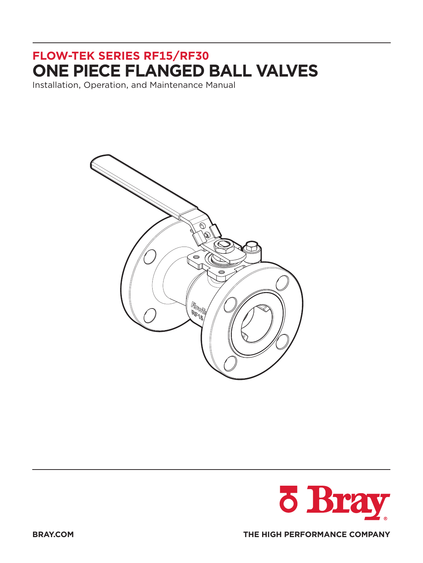## **FLOW-TEK SERIES RF15/RF30 ONE PIECE FLANGED BALL VALVES**

Installation, Operation, and Maintenance Manual





**BRAY.COM THE HIGH PERFORMANCE COMPANY**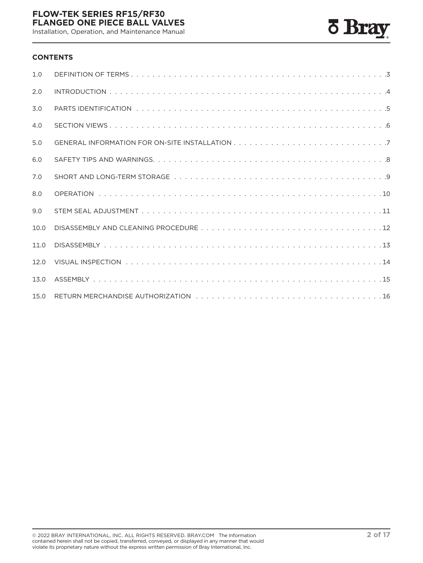Installation, Operation, and Maintenance Manual



#### **CONTENTS**

| 1.0  |  |
|------|--|
| 2.0  |  |
| 3.0  |  |
| 4.0  |  |
| 5.0  |  |
| 6.0  |  |
| 7.0  |  |
| 8.0  |  |
| 9.0  |  |
| 10.0 |  |
| 11.0 |  |
| 12.0 |  |
| 13.0 |  |
| 15.0 |  |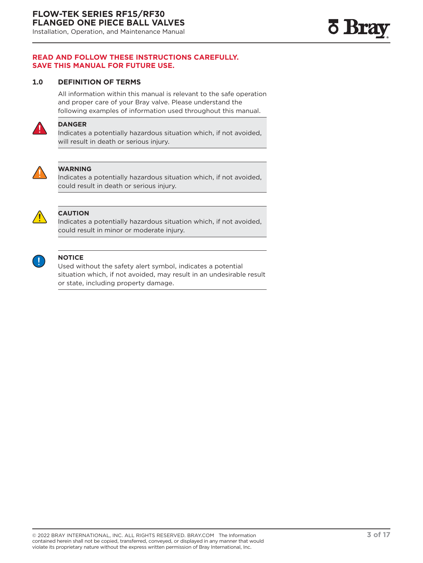<span id="page-2-0"></span>Installation, Operation, and Maintenance Manual

#### **READ AND FOLLOW THESE INSTRUCTIONS CAREFULLY. SAVE THIS MANUAL FOR FUTURE USE.**

#### **1.0 DEFINITION OF TERMS**

All information within this manual is relevant to the safe operation and proper care of your Bray valve. Please understand the following examples of information used throughout this manual.



#### **DANGER**

Indicates a potentially hazardous situation which, if not avoided, will result in death or serious injury.



#### **WARNING**

Indicates a potentially hazardous situation which, if not avoided, could result in death or serious injury.



#### **CAUTION**

Indicates a potentially hazardous situation which, if not avoided, could result in minor or moderate injury.



#### **NOTICE**

Used without the safety alert symbol, indicates a potential situation which, if not avoided, may result in an undesirable result or state, including property damage.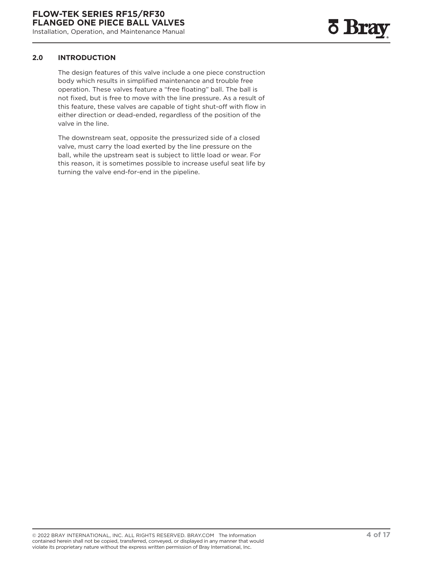#### <span id="page-3-0"></span>**2.0 INTRODUCTION**

The design features of this valve include a one piece construction body which results in simplified maintenance and trouble free operation. These valves feature a "free floating" ball. The ball is not fixed, but is free to move with the line pressure. As a result of this feature, these valves are capable of tight shut-off with flow in either direction or dead-ended, regardless of the position of the valve in the line.

The downstream seat, opposite the pressurized side of a closed valve, must carry the load exerted by the line pressure on the ball, while the upstream seat is subject to little load or wear. For this reason, it is sometimes possible to increase useful seat life by turning the valve end-for-end in the pipeline.

<u>o</u> Bra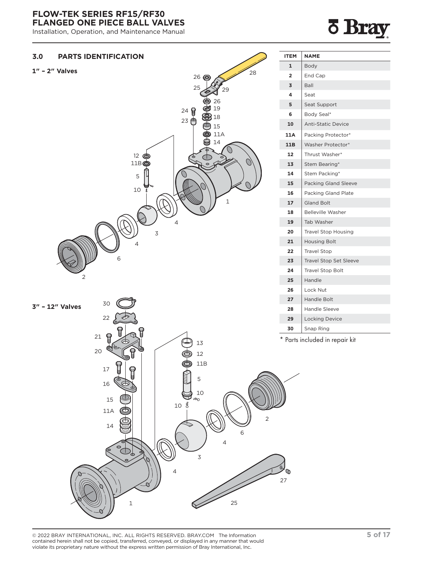<span id="page-4-0"></span>Installation, Operation, and Maintenance Manual

# Bra



© 2022 BRAY INTERNATIONAL, INC. ALL RIGHTS RESERVED. BRAY.COM The Information **5 of 17** contained herein shall not be copied, transferred, conveyed, or displayed in any manner that would violate its proprietary nature without the express written permission of Bray International, Inc.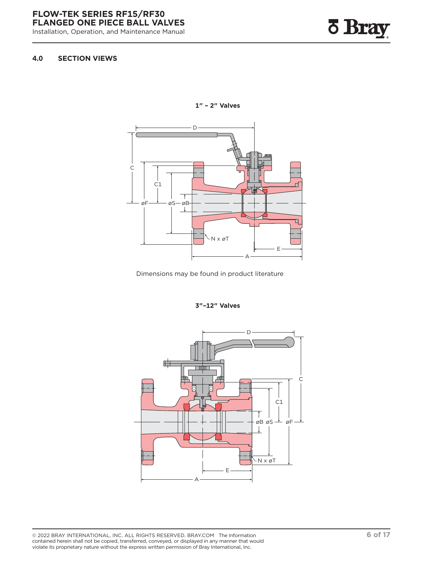<span id="page-5-0"></span>Installation, Operation, and Maintenance Manual



#### **4.0 SECTION VIEWS**



**1" – 2" Valves**

Dimensions may be found in product literature

**3"–12" Valves**

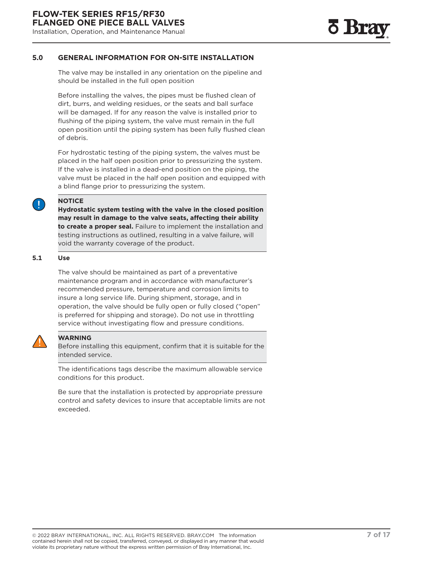#### <span id="page-6-0"></span>**5.0 GENERAL INFORMATION FOR ON-SITE INSTALLATION**

The valve may be installed in any orientation on the pipeline and should be installed in the full open position

Before installing the valves, the pipes must be flushed clean of dirt, burrs, and welding residues, or the seats and ball surface will be damaged. If for any reason the valve is installed prior to flushing of the piping system, the valve must remain in the full open position until the piping system has been fully flushed clean of debris.

For hydrostatic testing of the piping system, the valves must be placed in the half open position prior to pressurizing the system. If the valve is installed in a dead-end position on the piping, the valve must be placed in the half open position and equipped with a blind flange prior to pressurizing the system.

**NOTICE**

**Hydrostatic system testing with the valve in the closed position may result in damage to the valve seats, affecting their ability to create a proper seal.** Failure to implement the installation and testing instructions as outlined, resulting in a valve failure, will void the warranty coverage of the product.

#### **5.1 Use**

The valve should be maintained as part of a preventative maintenance program and in accordance with manufacturer's recommended pressure, temperature and corrosion limits to insure a long service life. During shipment, storage, and in operation, the valve should be fully open or fully closed ("open" is preferred for shipping and storage). Do not use in throttling service without investigating flow and pressure conditions.



#### **WARNING**

Before installing this equipment, confirm that it is suitable for the intended service.

The identifications tags describe the maximum allowable service conditions for this product.

Be sure that the installation is protected by appropriate pressure control and safety devices to insure that acceptable limits are not exceeded.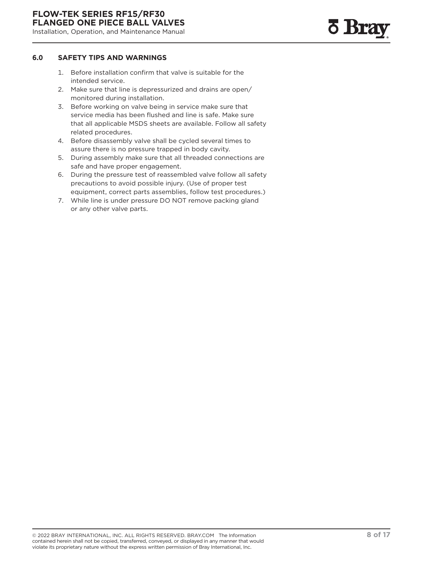#### <span id="page-7-0"></span>**6.0 SAFETY TIPS AND WARNINGS**

- 1. Before installation confirm that valve is suitable for the intended service.
- 2. Make sure that line is depressurized and drains are open/ monitored during installation.
- 3. Before working on valve being in service make sure that service media has been flushed and line is safe. Make sure that all applicable MSDS sheets are available. Follow all safety related procedures.
- 4. Before disassembly valve shall be cycled several times to assure there is no pressure trapped in body cavity.
- 5. During assembly make sure that all threaded connections are safe and have proper engagement.
- 6. During the pressure test of reassembled valve follow all safety precautions to avoid possible injury. (Use of proper test equipment, correct parts assemblies, follow test procedures.)
- 7. While line is under pressure DO NOT remove packing gland or any other valve parts.

<u> 5 Bra</u>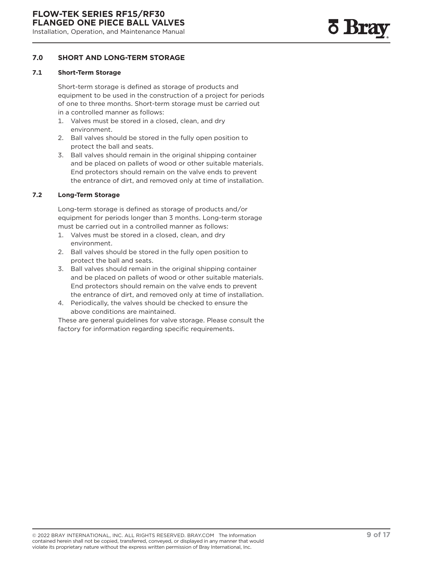#### <span id="page-8-0"></span>**7.0 SHORT AND LONG-TERM STORAGE**

#### **7.1 Short-Term Storage**

Short-term storage is defined as storage of products and equipment to be used in the construction of a project for periods of one to three months. Short-term storage must be carried out in a controlled manner as follows:

- 1. Valves must be stored in a closed, clean, and dry environment.
- 2. Ball valves should be stored in the fully open position to protect the ball and seats.
- 3. Ball valves should remain in the original shipping container and be placed on pallets of wood or other suitable materials. End protectors should remain on the valve ends to prevent the entrance of dirt, and removed only at time of installation.

#### **7.2 Long-Term Storage**

Long-term storage is defined as storage of products and/or equipment for periods longer than 3 months. Long-term storage must be carried out in a controlled manner as follows:

- 1. Valves must be stored in a closed, clean, and dry environment.
- 2. Ball valves should be stored in the fully open position to protect the ball and seats.
- 3. Ball valves should remain in the original shipping container and be placed on pallets of wood or other suitable materials. End protectors should remain on the valve ends to prevent the entrance of dirt, and removed only at time of installation.
- 4. Periodically, the valves should be checked to ensure the above conditions are maintained.

These are general guidelines for valve storage. Please consult the factory for information regarding specific requirements.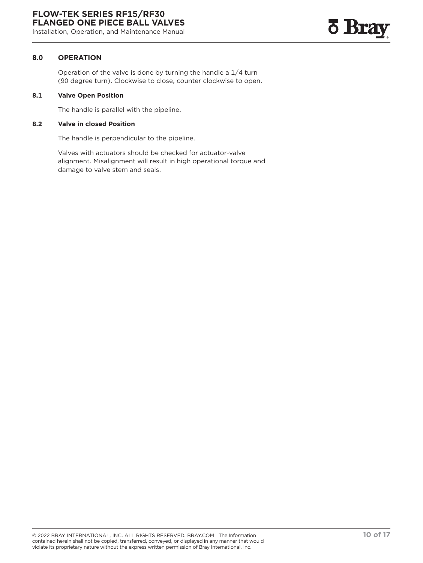#### <span id="page-9-0"></span>**8.0 OPERATION**

Operation of the valve is done by turning the handle a 1/4 turn (90 degree turn). Clockwise to close, counter clockwise to open.

#### **8.1 Valve Open Position**

The handle is parallel with the pipeline.

#### **8.2 Valve in closed Position**

The handle is perpendicular to the pipeline.

Valves with actuators should be checked for actuator-valve alignment. Misalignment will result in high operational torque and damage to valve stem and seals.

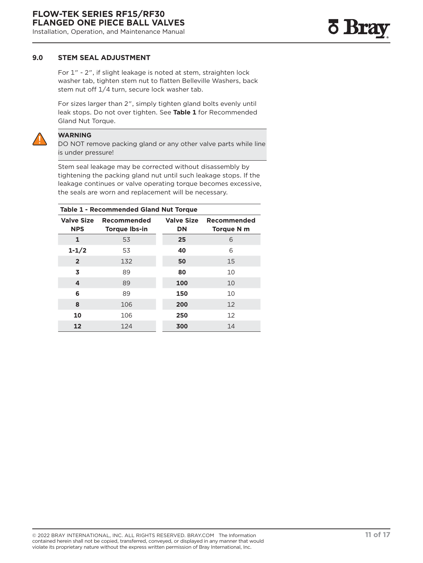#### <span id="page-10-0"></span>**9.0 STEM SEAL ADJUSTMENT**

For 1" - 2", if slight leakage is noted at stem, straighten lock washer tab, tighten stem nut to flatten Belleville Washers, back stem nut off 1/4 turn, secure lock washer tab.

For sizes larger than 2", simply tighten gland bolts evenly until leak stops. Do not over tighten. See **Table 1** for Recommended Gland Nut Torque.



#### **WARNING**

DO NOT remove packing gland or any other valve parts while line is under pressure!

Stem seal leakage may be corrected without disassembly by tightening the packing gland nut until such leakage stops. If the leakage continues or valve operating torque becomes excessive, the seals are worn and replacement will be necessary.

| <b>Table 1 - Recommended Gland Nut Torque</b> |                                     |                                |                           |  |
|-----------------------------------------------|-------------------------------------|--------------------------------|---------------------------|--|
| <b>Valve Size</b><br><b>NPS</b>               | Recommended<br><b>Torque Ibs-in</b> | <b>Valve Size</b><br><b>DN</b> | Recommended<br>Torque N m |  |
| 1                                             | 53                                  | 25                             | 6                         |  |
| $1 - 1/2$                                     | 53                                  | 40                             | 6                         |  |
| $\overline{2}$                                | 132                                 | 50                             | 15                        |  |
| 3                                             | 89                                  | 80                             | 10                        |  |
| 4                                             | 89                                  | 100                            | 10                        |  |
| 6                                             | 89                                  | 150                            | 10                        |  |
| 8                                             | 106                                 | 200                            | 12                        |  |
| 10                                            | 106                                 | 250                            | 12                        |  |
| 12                                            | 124                                 | 300                            | 14                        |  |

<u>o Bra</u>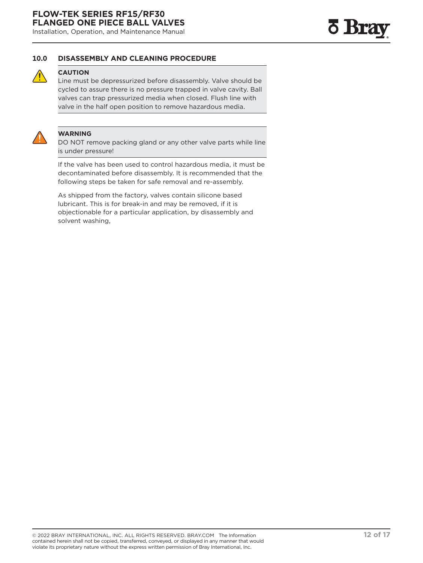<span id="page-11-0"></span>Installation, Operation, and Maintenance Manual

#### **10.0 DISASSEMBLY AND CLEANING PROCEDURE**



#### **CAUTION**

Line must be depressurized before disassembly. Valve should be cycled to assure there is no pressure trapped in valve cavity. Ball valves can trap pressurized media when closed. Flush line with valve in the half open position to remove hazardous media.



#### **WARNING**

DO NOT remove packing gland or any other valve parts while line is under pressure!

If the valve has been used to control hazardous media, it must be decontaminated before disassembly. It is recommended that the following steps be taken for safe removal and re-assembly.

As shipped from the factory, valves contain silicone based lubricant. This is for break-in and may be removed, if it is objectionable for a particular application, by disassembly and solvent washing,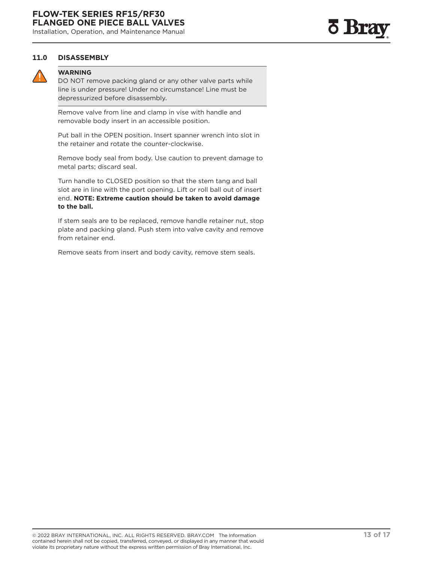<span id="page-12-0"></span>Installation, Operation, and Maintenance Manual

#### **11.0 DISASSEMBLY**



#### **WARNING**

DO NOT remove packing gland or any other valve parts while line is under pressure! Under no circumstance! Line must be depressurized before disassembly.

Remove valve from line and clamp in vise with handle and removable body insert in an accessible position.

Put ball in the OPEN position. Insert spanner wrench into slot in the retainer and rotate the counter-clockwise.

Remove body seal from body. Use caution to prevent damage to metal parts; discard seal.

Turn handle to CLOSED position so that the stem tang and ball slot are in line with the port opening. Lift or roll ball out of insert end. **NOTE: Extreme caution should be taken to avoid damage to the ball.**

If stem seals are to be replaced, remove handle retainer nut, stop plate and packing gland. Push stem into valve cavity and remove from retainer end.

Remove seats from insert and body cavity, remove stem seals.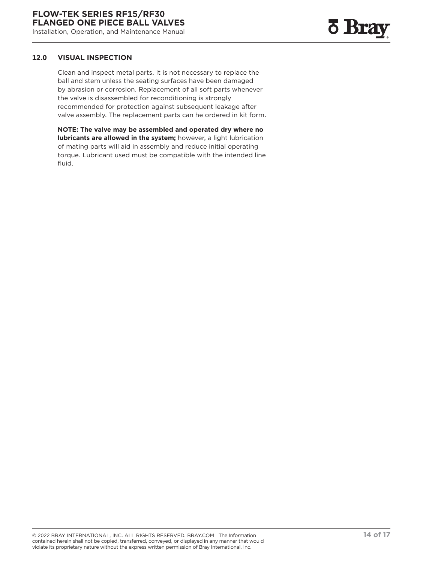#### <span id="page-13-0"></span>**12.0 VISUAL INSPECTION**

Clean and inspect metal parts. It is not necessary to replace the ball and stem unless the seating surfaces have been damaged by abrasion or corrosion. Replacement of all soft parts whenever the valve is disassembled for reconditioning is strongly recommended for protection against subsequent leakage after valve assembly. The replacement parts can he ordered in kit form.

**NOTE: The valve may be assembled and operated dry where no lubricants are allowed in the system;** however, a light lubrication of mating parts will aid in assembly and reduce initial operating torque. Lubricant used must be compatible with the intended line fluid.

<u>o</u> Bra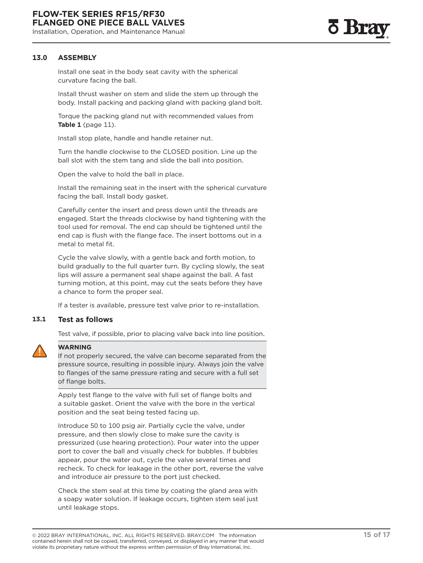#### <span id="page-14-0"></span>**13.0 ASSEMBLY**

Install one seat in the body seat cavity with the spherical curvature facing the ball.

Install thrust washer on stem and slide the stem up through the body. Install packing and packing gland with packing gland bolt.

Torque the packing gland nut with recommended values from **Table 1** (page 11).

Install stop plate, handle and handle retainer nut.

Turn the handle clockwise to the CLOSED position. Line up the ball slot with the stem tang and slide the ball into position.

Open the valve to hold the ball in place.

Install the remaining seat in the insert with the spherical curvature facing the ball. Install body gasket.

Carefully center the insert and press down until the threads are engaged. Start the threads clockwise by hand tightening with the tool used for removal. The end cap should be tightened until the end cap is flush with the flange face. The insert bottoms out in a metal to metal fit.

Cycle the valve slowly, with a gentle back and forth motion, to build gradually to the full quarter turn. By cycling slowly, the seat lips will assure a permanent seal shape against the ball. A fast turning motion, at this point, may cut the seats before they have a chance to form the proper seal.

If a tester is available, pressure test valve prior to re-installation.

#### **13.1 Test as follows**

Test valve, if possible, prior to placing valve back into line position.



#### **WARNING**

If not properly secured, the valve can become separated from the pressure source, resulting in possible injury. Always join the valve to flanges of the same pressure rating and secure with a full set of flange bolts.

Apply test flange to the valve with full set of flange bolts and a suitable gasket. Orient the valve with the bore in the vertical position and the seat being tested facing up.

Introduce 50 to 100 psig air. Partially cycle the valve, under pressure, and then slowly close to make sure the cavity is pressurized (use hearing protection). Pour water into the upper port to cover the ball and visually check for bubbles. If bubbles appear, pour the water out, cycle the valve several times and recheck. To check for leakage in the other port, reverse the valve and introduce air pressure to the port just checked.

Check the stem seal at this time by coating the gland area with a soapy water solution. If leakage occurs, tighten stem seal just until leakage stops.

<sup>© 2022</sup> BRAY INTERNATIONAL, INC. ALL RIGHTS RESERVED. BRAY.COM The Information **15 of 17** contained herein shall not be copied, transferred, conveyed, or displayed in any manner that would violate its proprietary nature without the express written permission of Bray International, Inc.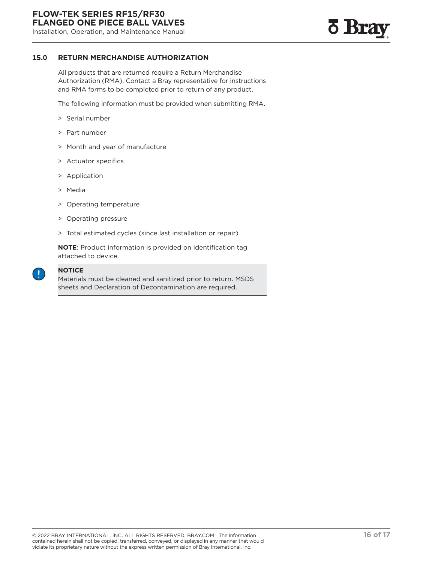

#### <span id="page-15-0"></span>**15.0 RETURN MERCHANDISE AUTHORIZATION**

All products that are returned require a Return Merchandise Authorization (RMA). Contact a Bray representative for instructions and RMA forms to be completed prior to return of any product.

The following information must be provided when submitting RMA.

- > Serial number
- > Part number
- > Month and year of manufacture
- > Actuator specifics
- > Application
- > Media
- > Operating temperature
- > Operating pressure
- > Total estimated cycles (since last installation or repair)

**NOTE**: Product information is provided on identification tag attached to device.



#### **NOTICE**

Materials must be cleaned and sanitized prior to return. MSDS sheets and Declaration of Decontamination are required.